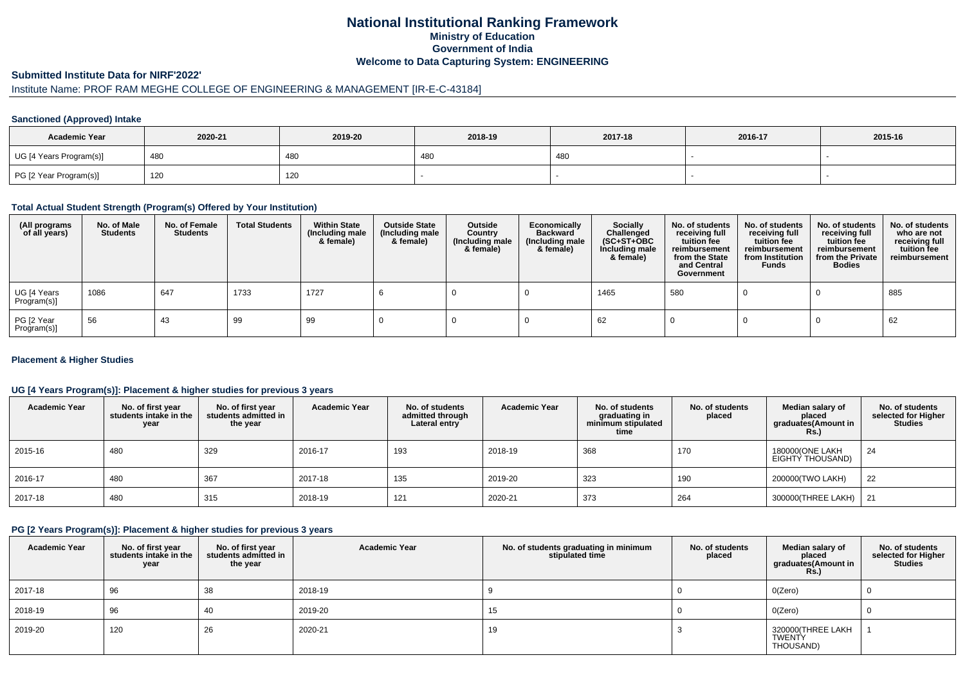# **National Institutional Ranking FrameworkMinistry of Education Government of IndiaWelcome to Data Capturing System: ENGINEERING**

### **Submitted Institute Data for NIRF'2022'**

# Institute Name: PROF RAM MEGHE COLLEGE OF ENGINEERING & MANAGEMENT [IR-E-C-43184]

### **Sanctioned (Approved) Intake**

| <b>Academic Year</b>    | 2020-21 | 2019-20 | 2018-19 | 2017-18 | 2016-17 | 2015-16 |
|-------------------------|---------|---------|---------|---------|---------|---------|
| UG [4 Years Program(s)] | 480     | 480     | 480     | 480     |         |         |
| PG [2 Year Program(s)]  | 120     | 120     |         |         |         |         |

#### **Total Actual Student Strength (Program(s) Offered by Your Institution)**

| (All programs<br>of all years) | No. of Male<br><b>Students</b> | No. of Female<br>Students | <b>Total Students</b> | <b>Within State</b><br>(Including male<br>& female) | <b>Outside State</b><br>(Including male<br>& female) | Outside<br>Country<br>(Including male<br>& female) | Economically<br><b>Backward</b><br>(Including male<br>& female) | <b>Socially</b><br>Challenged<br>$(SC+ST+OBC)$<br>Including male<br>& female) | No. of students<br>receiving full<br>tuition fee<br>reimbursement<br>from the State<br>and Central<br>Government | No. of students<br>receiving full<br>tuition fee<br>reimbursement<br>from Institution<br><b>Funds</b> | No. of students<br>receiving full<br>tuition fee<br>reimbursement<br>from the Private<br><b>Bodies</b> | No. of students<br>who are not<br>receiving full<br>tuition fee<br>reimbursement |
|--------------------------------|--------------------------------|---------------------------|-----------------------|-----------------------------------------------------|------------------------------------------------------|----------------------------------------------------|-----------------------------------------------------------------|-------------------------------------------------------------------------------|------------------------------------------------------------------------------------------------------------------|-------------------------------------------------------------------------------------------------------|--------------------------------------------------------------------------------------------------------|----------------------------------------------------------------------------------|
| UG [4 Years<br>Program(s)]     | 1086                           | 647                       | 1733                  | 1727                                                |                                                      |                                                    |                                                                 | 1465                                                                          | 580                                                                                                              |                                                                                                       |                                                                                                        | 885                                                                              |
| PG [2 Year<br>Program(s)]      | 56                             | 43                        | 99                    | 99                                                  |                                                      |                                                    |                                                                 | 62                                                                            |                                                                                                                  |                                                                                                       |                                                                                                        | 62                                                                               |

### **Placement & Higher Studies**

## **UG [4 Years Program(s)]: Placement & higher studies for previous 3 years**

| <b>Academic Year</b> | No. of first year<br>students intake in the<br>year | No. of first vear<br>students admitted in<br>the year | <b>Academic Year</b> | No. of students<br>admitted through<br>Lateral entry | <b>Academic Year</b> | No. of students<br>graduating in<br>minimum stipulated<br>time | No. of students<br>placed | Median salary of<br>placed<br>graduates(Amount in<br><b>Rs.)</b> | No. of students<br>selected for Higher<br><b>Studies</b> |
|----------------------|-----------------------------------------------------|-------------------------------------------------------|----------------------|------------------------------------------------------|----------------------|----------------------------------------------------------------|---------------------------|------------------------------------------------------------------|----------------------------------------------------------|
| 2015-16              | 480                                                 | 329                                                   | 2016-17              | 193                                                  | 2018-19              | 368                                                            | 170                       | 180000(ONE LAKH<br>EIGHTY THOUSAND)                              | 24                                                       |
| 2016-17              | 480                                                 | 367                                                   | 2017-18              | 135                                                  | 2019-20              | 323                                                            | 190                       | 200000(TWO LAKH)                                                 | 22                                                       |
| 2017-18              | 480                                                 | 315                                                   | 2018-19              | 121                                                  | 2020-21              | 373                                                            | 264                       | 300000(THREE LAKH)                                               | 21                                                       |

#### **PG [2 Years Program(s)]: Placement & higher studies for previous 3 years**

| <b>Academic Year</b> | No. of first year<br>students intake in the<br>year | No. of first year<br>students admitted in<br>the year | <b>Academic Year</b> | No. of students graduating in minimum<br>stipulated time | No. of students<br>placed | Median salary of<br>placed<br>graduates(Amount in<br><b>Rs.)</b> | No. of students<br>selected for Higher<br><b>Studies</b> |
|----------------------|-----------------------------------------------------|-------------------------------------------------------|----------------------|----------------------------------------------------------|---------------------------|------------------------------------------------------------------|----------------------------------------------------------|
| 2017-18              | 96                                                  | 38                                                    | 2018-19              |                                                          |                           | O(Zero)                                                          |                                                          |
| 2018-19              | 96                                                  | 40                                                    | 2019-20              | 15                                                       |                           | O(Zero)                                                          |                                                          |
| 2019-20              | 120                                                 | 26                                                    | 2020-21              | 19                                                       |                           | 320000(THREE LAKH<br><b>TWENTY</b><br>THOUSAND)                  |                                                          |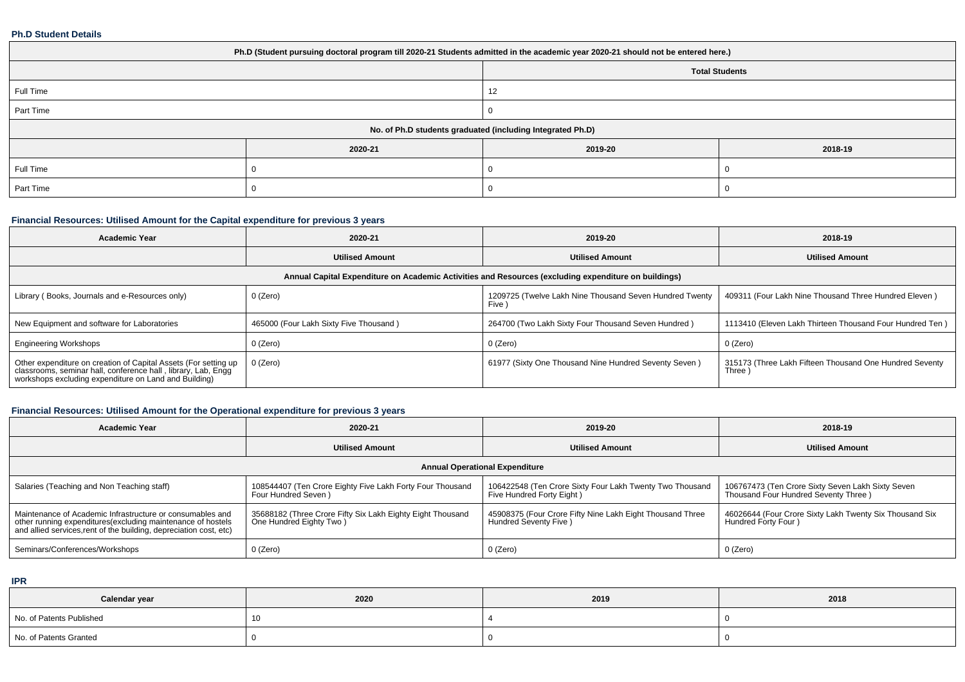#### **Ph.D Student Details**

| Ph.D (Student pursuing doctoral program till 2020-21 Students admitted in the academic year 2020-21 should not be entered here.) |                       |         |         |  |  |  |
|----------------------------------------------------------------------------------------------------------------------------------|-----------------------|---------|---------|--|--|--|
|                                                                                                                                  | <b>Total Students</b> |         |         |  |  |  |
| Full Time                                                                                                                        |                       | 12      |         |  |  |  |
| Part Time                                                                                                                        |                       |         |         |  |  |  |
| No. of Ph.D students graduated (including Integrated Ph.D)                                                                       |                       |         |         |  |  |  |
|                                                                                                                                  | 2020-21               | 2019-20 | 2018-19 |  |  |  |
| Full Time                                                                                                                        |                       |         |         |  |  |  |
| Part Time                                                                                                                        |                       |         |         |  |  |  |

## **Financial Resources: Utilised Amount for the Capital expenditure for previous 3 years**

| <b>Academic Year</b>                                                                                                                                                                      | 2020-21                                                                                              | 2019-20                                                           | 2018-19                                                           |  |  |  |  |  |  |
|-------------------------------------------------------------------------------------------------------------------------------------------------------------------------------------------|------------------------------------------------------------------------------------------------------|-------------------------------------------------------------------|-------------------------------------------------------------------|--|--|--|--|--|--|
| <b>Utilised Amount</b>                                                                                                                                                                    |                                                                                                      | <b>Utilised Amount</b>                                            | <b>Utilised Amount</b>                                            |  |  |  |  |  |  |
|                                                                                                                                                                                           | Annual Capital Expenditure on Academic Activities and Resources (excluding expenditure on buildings) |                                                                   |                                                                   |  |  |  |  |  |  |
| Library (Books, Journals and e-Resources only)                                                                                                                                            | 0 (Zero)                                                                                             | 1209725 (Twelve Lakh Nine Thousand Seven Hundred Twenty<br>Five ) | 409311 (Four Lakh Nine Thousand Three Hundred Eleven)             |  |  |  |  |  |  |
| New Equipment and software for Laboratories                                                                                                                                               | 465000 (Four Lakh Sixty Five Thousand)                                                               | 264700 (Two Lakh Sixty Four Thousand Seven Hundred)               | 1113410 (Eleven Lakh Thirteen Thousand Four Hundred Ten)          |  |  |  |  |  |  |
| <b>Engineering Workshops</b>                                                                                                                                                              | 0 (Zero)                                                                                             | 0 (Zero)                                                          | 0 (Zero)                                                          |  |  |  |  |  |  |
| Other expenditure on creation of Capital Assets (For setting up<br>classrooms, seminar hall, conference hall, library, Lab, Engg<br>workshops excluding expenditure on Land and Building) | 0 (Zero)                                                                                             | 61977 (Sixty One Thousand Nine Hundred Seventy Seven)             | 315173 (Three Lakh Fifteen Thousand One Hundred Seventy<br>Three) |  |  |  |  |  |  |

## **Financial Resources: Utilised Amount for the Operational expenditure for previous 3 years**

| Academic Year                                                                                                                                                                                  | 2020-21                                                                               | 2019-20                                                                               | 2018-19                                                                                   |  |  |  |  |  |  |
|------------------------------------------------------------------------------------------------------------------------------------------------------------------------------------------------|---------------------------------------------------------------------------------------|---------------------------------------------------------------------------------------|-------------------------------------------------------------------------------------------|--|--|--|--|--|--|
|                                                                                                                                                                                                | <b>Utilised Amount</b>                                                                | <b>Utilised Amount</b>                                                                | <b>Utilised Amount</b>                                                                    |  |  |  |  |  |  |
|                                                                                                                                                                                                | <b>Annual Operational Expenditure</b>                                                 |                                                                                       |                                                                                           |  |  |  |  |  |  |
| Salaries (Teaching and Non Teaching staff)                                                                                                                                                     | 108544407 (Ten Crore Eighty Five Lakh Forty Four Thousand<br>Four Hundred Seven)      | 106422548 (Ten Crore Sixty Four Lakh Twenty Two Thousand<br>Five Hundred Forty Eight) | 106767473 (Ten Crore Sixty Seven Lakh Sixty Seven<br>Thousand Four Hundred Seventy Three) |  |  |  |  |  |  |
| Maintenance of Academic Infrastructure or consumables and<br>other running expenditures(excluding maintenance of hostels<br>and allied services, rent of the building, depreciation cost, etc) | 35688182 (Three Crore Fifty Six Lakh Eighty Eight Thousand<br>One Hundred Eighty Two) | 45908375 (Four Crore Fifty Nine Lakh Eight Thousand Three<br>Hundred Seventy Five )   | 46026644 (Four Crore Sixty Lakh Twenty Six Thousand Six<br>Hundred Forty Four)            |  |  |  |  |  |  |
| Seminars/Conferences/Workshops                                                                                                                                                                 | 0 (Zero)                                                                              | 0 (Zero)                                                                              | 0 (Zero)                                                                                  |  |  |  |  |  |  |

**IPR**

| Calendar year            | 2020 | 2019 | 2018 |
|--------------------------|------|------|------|
| No. of Patents Published | 10   |      |      |
| No. of Patents Granted   |      |      |      |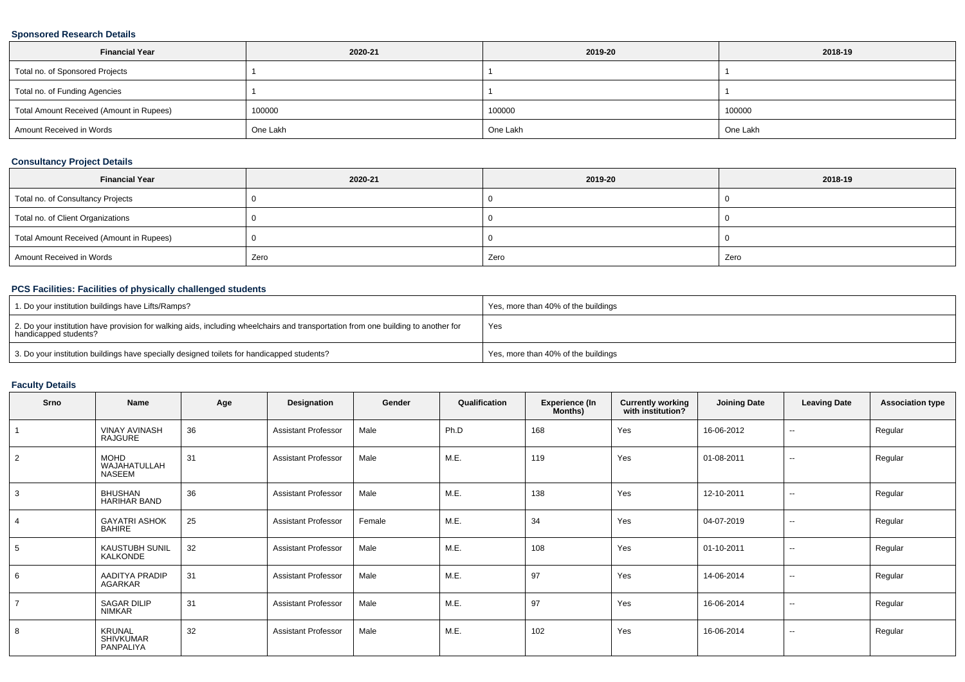## **Sponsored Research Details**

| <b>Financial Year</b>                    | 2020-21  | 2019-20  | 2018-19  |  |
|------------------------------------------|----------|----------|----------|--|
| Total no. of Sponsored Projects          |          |          |          |  |
| Total no. of Funding Agencies            |          |          |          |  |
| Total Amount Received (Amount in Rupees) | 100000   | 100000   | 100000   |  |
| Amount Received in Words                 | One Lakh | One Lakh | One Lakh |  |

## **Consultancy Project Details**

| <b>Financial Year</b>                    | 2020-21 | 2019-20 | 2018-19 |
|------------------------------------------|---------|---------|---------|
| Total no. of Consultancy Projects        |         |         |         |
| Total no. of Client Organizations        |         |         |         |
| Total Amount Received (Amount in Rupees) |         |         |         |
| Amount Received in Words                 | Zero    | Zero    | Zero    |

## **PCS Facilities: Facilities of physically challenged students**

| 1. Do your institution buildings have Lifts/Ramps?                                                                                                         | Yes, more than 40% of the buildings |
|------------------------------------------------------------------------------------------------------------------------------------------------------------|-------------------------------------|
| 2. Do your institution have provision for walking aids, including wheelchairs and transportation from one building to another for<br>handicapped students? | Yes                                 |
| 3. Do your institution buildings have specially designed toilets for handicapped students?                                                                 | Yes, more than 40% of the buildings |

## **Faculty Details**

| Srno           | Name                                    | Age | Designation                | Gender | Qualification | <b>Experience (In</b><br>Months) | <b>Currently working</b><br>with institution? | <b>Joining Date</b> | <b>Leaving Date</b>      | <b>Association type</b> |
|----------------|-----------------------------------------|-----|----------------------------|--------|---------------|----------------------------------|-----------------------------------------------|---------------------|--------------------------|-------------------------|
|                | <b>VINAY AVINASH</b><br>RAJGURE         | 36  | <b>Assistant Professor</b> | Male   | Ph.D          | 168                              | Yes                                           | 16-06-2012          | $\overline{\phantom{a}}$ | Regular                 |
| $\overline{2}$ | <b>MOHD</b><br>WAJAHATULLAH<br>NASEEM   | 31  | <b>Assistant Professor</b> | Male   | M.E.          | 119                              | Yes                                           | 01-08-2011          | $\sim$                   | Regular                 |
| 3              | <b>BHUSHAN</b><br><b>HARIHAR BAND</b>   | 36  | <b>Assistant Professor</b> | Male   | M.E.          | 138                              | Yes                                           | 12-10-2011          | $\overline{\phantom{a}}$ | Regular                 |
| $\overline{4}$ | <b>GAYATRI ASHOK</b><br><b>BAHIRE</b>   | 25  | <b>Assistant Professor</b> | Female | M.E.          | 34                               | Yes                                           | 04-07-2019          | $\sim$                   | Regular                 |
| 5              | <b>KAUSTUBH SUNIL</b><br>KALKONDE       | 32  | <b>Assistant Professor</b> | Male   | M.E.          | 108                              | Yes                                           | 01-10-2011          | $\sim$                   | Regular                 |
| 6              | AADITYA PRADIP<br><b>AGARKAR</b>        | 31  | <b>Assistant Professor</b> | Male   | M.E.          | 97                               | Yes                                           | 14-06-2014          | $\sim$                   | Regular                 |
| $\overline{7}$ | <b>SAGAR DILIP</b><br>NIMKAR            | 31  | <b>Assistant Professor</b> | Male   | M.E.          | 97                               | Yes                                           | 16-06-2014          | $\overline{\phantom{a}}$ | Regular                 |
| 8              | KRUNAL<br><b>SHIVKUMAR</b><br>PANPALIYA | 32  | <b>Assistant Professor</b> | Male   | M.E.          | 102                              | Yes                                           | 16-06-2014          | $\overline{\phantom{a}}$ | Regular                 |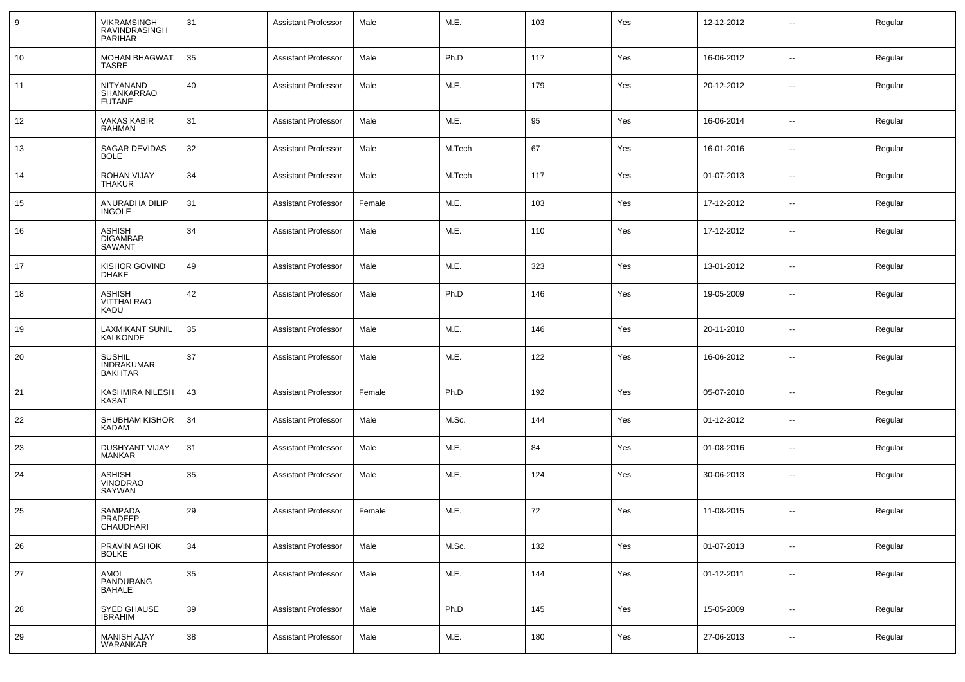| 9  | VIKRAMSINGH<br>RAVINDRASINGH<br><b>PARIHAR</b>       | 31 | <b>Assistant Professor</b> | Male   | M.E.   | 103 | Yes | 12-12-2012 | $\sim$                   | Regular |
|----|------------------------------------------------------|----|----------------------------|--------|--------|-----|-----|------------|--------------------------|---------|
| 10 | <b>MOHAN BHAGWAT</b><br>TASRE                        | 35 | <b>Assistant Professor</b> | Male   | Ph.D   | 117 | Yes | 16-06-2012 | $\sim$                   | Regular |
| 11 | NITYANAND<br>SHANKARRAO<br><b>FUTANE</b>             | 40 | <b>Assistant Professor</b> | Male   | M.E.   | 179 | Yes | 20-12-2012 | --                       | Regular |
| 12 | VAKAS KABIR<br><b>RAHMAN</b>                         | 31 | <b>Assistant Professor</b> | Male   | M.E.   | 95  | Yes | 16-06-2014 | $\sim$                   | Regular |
| 13 | SAGAR DEVIDAS<br><b>BOLE</b>                         | 32 | <b>Assistant Professor</b> | Male   | M.Tech | 67  | Yes | 16-01-2016 | $\sim$                   | Regular |
| 14 | ROHAN VIJAY<br>THAKUR                                | 34 | <b>Assistant Professor</b> | Male   | M.Tech | 117 | Yes | 01-07-2013 | $\sim$                   | Regular |
| 15 | ANURADHA DILIP<br><b>INGOLE</b>                      | 31 | <b>Assistant Professor</b> | Female | M.E.   | 103 | Yes | 17-12-2012 | $\sim$                   | Regular |
| 16 | <b>ASHISH</b><br><b>DIGAMBAR</b><br>SAWANT           | 34 | <b>Assistant Professor</b> | Male   | M.E.   | 110 | Yes | 17-12-2012 | $\sim$                   | Regular |
| 17 | KISHOR GOVIND<br><b>DHAKE</b>                        | 49 | <b>Assistant Professor</b> | Male   | M.E.   | 323 | Yes | 13-01-2012 | $\overline{\phantom{a}}$ | Regular |
| 18 | <b>ASHISH</b><br><b>VITTHALRAO</b><br>KADU           | 42 | <b>Assistant Professor</b> | Male   | Ph.D   | 146 | Yes | 19-05-2009 | $\overline{\phantom{a}}$ | Regular |
| 19 | <b>LAXMIKANT SUNIL</b><br>KALKONDE                   | 35 | <b>Assistant Professor</b> | Male   | M.E.   | 146 | Yes | 20-11-2010 | $\overline{\phantom{a}}$ | Regular |
| 20 | <b>SUSHIL</b><br><b>INDRAKUMAR</b><br><b>BAKHTAR</b> | 37 | <b>Assistant Professor</b> | Male   | M.E.   | 122 | Yes | 16-06-2012 | $\overline{\phantom{a}}$ | Regular |
| 21 | KASHMIRA NILESH<br><b>KASAT</b>                      | 43 | <b>Assistant Professor</b> | Female | Ph.D   | 192 | Yes | 05-07-2010 | $\sim$                   | Regular |
| 22 | SHUBHAM KISHOR<br><b>KADAM</b>                       | 34 | <b>Assistant Professor</b> | Male   | M.Sc.  | 144 | Yes | 01-12-2012 | $\sim$                   | Regular |
| 23 | DUSHYANT VIJAY<br><b>MANKAR</b>                      | 31 | <b>Assistant Professor</b> | Male   | M.E.   | 84  | Yes | 01-08-2016 | $\sim$                   | Regular |
| 24 | ASHISH<br>VINODRAO<br>SAYWAN                         | 35 | <b>Assistant Professor</b> | Male   | M.E.   | 124 | Yes | 30-06-2013 | $\sim$                   | Regular |
| 25 | SAMPADA<br>PRADEEP<br>CHAUDHARI                      | 29 | <b>Assistant Professor</b> | Female | M.E.   | 72  | Yes | 11-08-2015 | --                       | Regular |
| 26 | PRAVIN ASHOK<br><b>BOLKE</b>                         | 34 | <b>Assistant Professor</b> | Male   | M.Sc.  | 132 | Yes | 01-07-2013 | $\sim$                   | Regular |
| 27 | AMOL<br>PANDURANG<br><b>BAHALE</b>                   | 35 | <b>Assistant Professor</b> | Male   | M.E.   | 144 | Yes | 01-12-2011 | $\overline{\phantom{a}}$ | Regular |
| 28 | SYED GHAUSE<br><b>IBRAHIM</b>                        | 39 | <b>Assistant Professor</b> | Male   | Ph.D   | 145 | Yes | 15-05-2009 | $\sim$                   | Regular |
| 29 | <b>MANISH AJAY</b><br>WARANKAR                       | 38 | <b>Assistant Professor</b> | Male   | M.E.   | 180 | Yes | 27-06-2013 | $\sim$                   | Regular |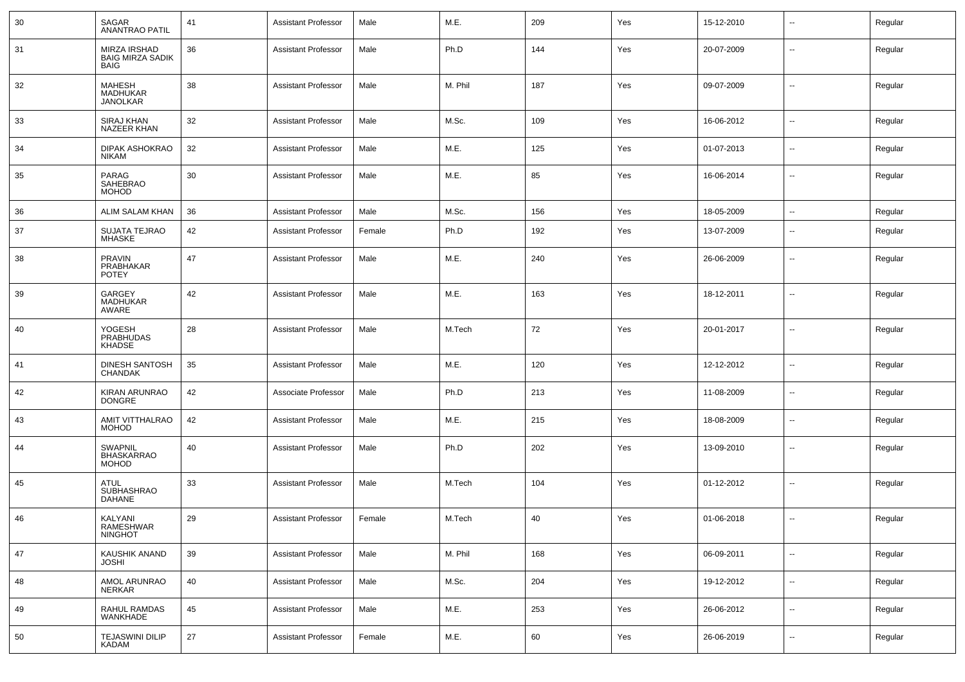| 30 | SAGAR<br><b>ANANTRAO PATIL</b>                         | 41 | <b>Assistant Professor</b> | Male   | M.E.    | 209 | Yes | 15-12-2010 | $\overline{\phantom{a}}$ | Regular |
|----|--------------------------------------------------------|----|----------------------------|--------|---------|-----|-----|------------|--------------------------|---------|
| 31 | MIRZA IRSHAD<br><b>BAIG MIRZA SADIK</b><br><b>BAIG</b> | 36 | <b>Assistant Professor</b> | Male   | Ph.D    | 144 | Yes | 20-07-2009 | $\sim$                   | Regular |
| 32 | <b>MAHESH</b><br>MADHUKAR<br><b>JANOLKAR</b>           | 38 | <b>Assistant Professor</b> | Male   | M. Phil | 187 | Yes | 09-07-2009 | $\overline{\phantom{a}}$ | Regular |
| 33 | SIRAJ KHAN<br>NAZEER KHAN                              | 32 | <b>Assistant Professor</b> | Male   | M.Sc.   | 109 | Yes | 16-06-2012 | $\mathbf{u}$             | Regular |
| 34 | DIPAK ASHOKRAO<br><b>NIKAM</b>                         | 32 | <b>Assistant Professor</b> | Male   | M.E.    | 125 | Yes | 01-07-2013 | $\sim$                   | Regular |
| 35 | PARAG<br>SAHEBRAO<br><b>MOHOD</b>                      | 30 | <b>Assistant Professor</b> | Male   | M.E.    | 85  | Yes | 16-06-2014 | --                       | Regular |
| 36 | ALIM SALAM KHAN                                        | 36 | <b>Assistant Professor</b> | Male   | M.Sc.   | 156 | Yes | 18-05-2009 | $\mathbf{u}$             | Regular |
| 37 | SUJATA TEJRAO<br><b>MHASKE</b>                         | 42 | <b>Assistant Professor</b> | Female | Ph.D    | 192 | Yes | 13-07-2009 | $\mathbf{u}$             | Regular |
| 38 | <b>PRAVIN</b><br>PRABHAKAR<br><b>POTEY</b>             | 47 | <b>Assistant Professor</b> | Male   | M.E.    | 240 | Yes | 26-06-2009 | $\mathbf{u}$             | Regular |
| 39 | <b>GARGEY</b><br><b>MADHUKAR</b><br>AWARE              | 42 | <b>Assistant Professor</b> | Male   | M.E.    | 163 | Yes | 18-12-2011 | $\overline{\phantom{a}}$ | Regular |
| 40 | YOGESH<br><b>PRABHUDAS</b><br><b>KHADSE</b>            | 28 | <b>Assistant Professor</b> | Male   | M.Tech  | 72  | Yes | 20-01-2017 | $\overline{\phantom{a}}$ | Regular |
| 41 | DINESH SANTOSH<br><b>CHANDAK</b>                       | 35 | <b>Assistant Professor</b> | Male   | M.E.    | 120 | Yes | 12-12-2012 | $\overline{\phantom{a}}$ | Regular |
| 42 | KIRAN ARUNRAO<br><b>DONGRE</b>                         | 42 | Associate Professor        | Male   | Ph.D    | 213 | Yes | 11-08-2009 | $\overline{\phantom{a}}$ | Regular |
| 43 | AMIT VITTHALRAO<br><b>MOHOD</b>                        | 42 | <b>Assistant Professor</b> | Male   | M.E.    | 215 | Yes | 18-08-2009 | $\mathbf{u}$             | Regular |
| 44 | SWAPNIL<br><b>BHASKARRAO</b><br><b>MOHOD</b>           | 40 | <b>Assistant Professor</b> | Male   | Ph.D    | 202 | Yes | 13-09-2010 | $\overline{\phantom{a}}$ | Regular |
| 45 | <b>ATUL</b><br><b>SUBHASHRAO</b><br><b>DAHANE</b>      | 33 | <b>Assistant Professor</b> | Male   | M.Tech  | 104 | Yes | 01-12-2012 | $\overline{\phantom{a}}$ | Regular |
| 46 | KALYANI<br>RAMESHWAR<br><b>NINGHOT</b>                 | 29 | <b>Assistant Professor</b> | Female | M.Tech  | 40  | Yes | 01-06-2018 | $\mathbf{u}$             | Regular |
| 47 | KAUSHIK ANAND<br><b>JOSHI</b>                          | 39 | <b>Assistant Professor</b> | Male   | M. Phil | 168 | Yes | 06-09-2011 | $\overline{\phantom{a}}$ | Regular |
| 48 | AMOL ARUNRAO<br>NERKAR                                 | 40 | <b>Assistant Professor</b> | Male   | M.Sc.   | 204 | Yes | 19-12-2012 | $\overline{\phantom{a}}$ | Regular |
| 49 | RAHUL RAMDAS<br><b>WANKHADE</b>                        | 45 | <b>Assistant Professor</b> | Male   | M.E.    | 253 | Yes | 26-06-2012 | $\sim$                   | Regular |
| 50 | <b>TEJASWINI DILIP</b><br><b>KADAM</b>                 | 27 | <b>Assistant Professor</b> | Female | M.E.    | 60  | Yes | 26-06-2019 | $\overline{\phantom{a}}$ | Regular |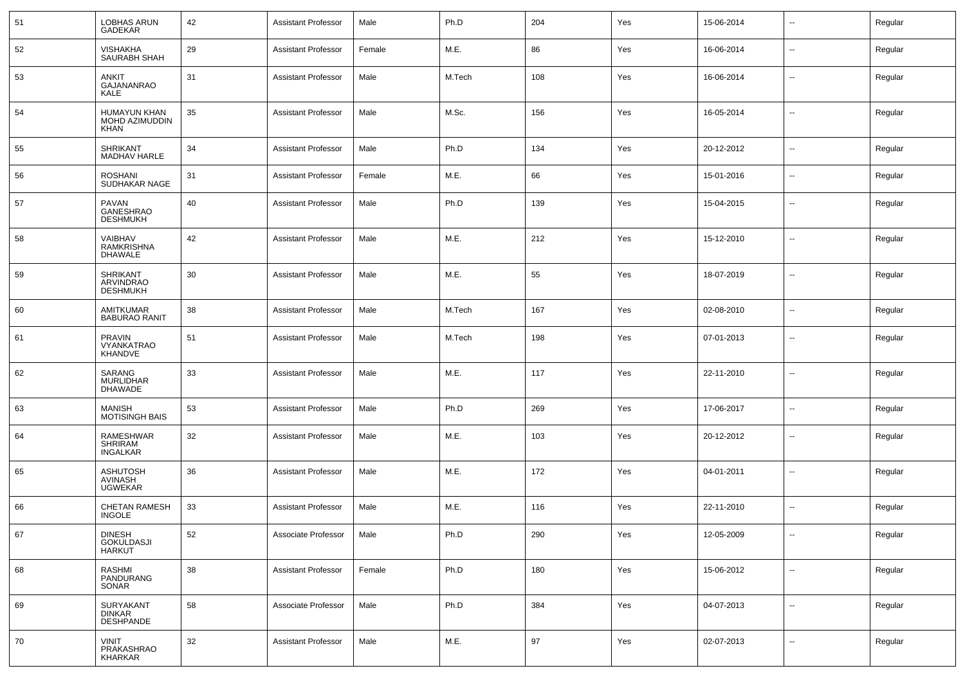| 51 | LOBHAS ARUN<br><b>GADEKAR</b>                        | 42 | <b>Assistant Professor</b> | Male   | Ph.D   | 204 | Yes | 15-06-2014 | $\overline{\phantom{a}}$ | Regular |
|----|------------------------------------------------------|----|----------------------------|--------|--------|-----|-----|------------|--------------------------|---------|
| 52 | <b>VISHAKHA</b><br><b>SAURABH SHAH</b>               | 29 | <b>Assistant Professor</b> | Female | M.E.   | 86  | Yes | 16-06-2014 | $\sim$                   | Regular |
| 53 | <b>ANKIT</b><br>GAJANANRAO<br><b>KALE</b>            | 31 | <b>Assistant Professor</b> | Male   | M.Tech | 108 | Yes | 16-06-2014 | $\overline{\phantom{a}}$ | Regular |
| 54 | <b>HUMAYUN KHAN</b><br>MOHD AZIMUDDIN<br><b>KHAN</b> | 35 | <b>Assistant Professor</b> | Male   | M.Sc.  | 156 | Yes | 16-05-2014 | $\sim$                   | Regular |
| 55 | <b>SHRIKANT</b><br>MADHAV HARLE                      | 34 | <b>Assistant Professor</b> | Male   | Ph.D   | 134 | Yes | 20-12-2012 | $\overline{\phantom{a}}$ | Regular |
| 56 | <b>ROSHANI</b><br>SUDHAKAR NAGE                      | 31 | <b>Assistant Professor</b> | Female | M.E.   | 66  | Yes | 15-01-2016 | $\overline{\phantom{a}}$ | Regular |
| 57 | PAVAN<br>GANESHRAO<br><b>DESHMUKH</b>                | 40 | <b>Assistant Professor</b> | Male   | Ph.D   | 139 | Yes | 15-04-2015 | $\overline{\phantom{a}}$ | Regular |
| 58 | VAIBHAV<br>RAMKRISHNA<br><b>DHAWALE</b>              | 42 | <b>Assistant Professor</b> | Male   | M.E.   | 212 | Yes | 15-12-2010 | $\overline{\phantom{a}}$ | Regular |
| 59 | <b>SHRIKANT</b><br>ARVINDRAO<br><b>DESHMUKH</b>      | 30 | <b>Assistant Professor</b> | Male   | M.E.   | 55  | Yes | 18-07-2019 | $\sim$                   | Regular |
| 60 | AMITKUMAR<br><b>BABURAO RANIT</b>                    | 38 | <b>Assistant Professor</b> | Male   | M.Tech | 167 | Yes | 02-08-2010 | $\overline{\phantom{a}}$ | Regular |
| 61 | <b>PRAVIN</b><br>VYANKATRAO<br>KHANDVE               | 51 | <b>Assistant Professor</b> | Male   | M.Tech | 198 | Yes | 07-01-2013 | $\overline{\phantom{a}}$ | Regular |
| 62 | SARANG<br><b>MURLIDHAR</b><br><b>DHAWADE</b>         | 33 | <b>Assistant Professor</b> | Male   | M.E.   | 117 | Yes | 22-11-2010 | $\overline{\phantom{a}}$ | Regular |
| 63 | <b>MANISH</b><br><b>MOTISINGH BAIS</b>               | 53 | <b>Assistant Professor</b> | Male   | Ph.D   | 269 | Yes | 17-06-2017 | $\sim$                   | Regular |
| 64 | RAMESHWAR<br><b>SHRIRAM</b><br><b>INGALKAR</b>       | 32 | <b>Assistant Professor</b> | Male   | M.E.   | 103 | Yes | 20-12-2012 | $\sim$                   | Regular |
| 65 | <b>ASHUTOSH</b><br><b>AVINASH</b><br><b>UGWEKAR</b>  | 36 | <b>Assistant Professor</b> | Male   | M.E.   | 172 | Yes | 04-01-2011 | $\overline{\phantom{a}}$ | Regular |
| 66 | <b>CHETAN RAMESH</b><br><b>INGOLE</b>                | 33 | <b>Assistant Professor</b> | Male   | M.E.   | 116 | Yes | 22-11-2010 | $\sim$                   | Regular |
| 67 | <b>DINESH</b><br>GOKULDASJI<br><b>HARKUT</b>         | 52 | Associate Professor        | Male   | Ph.D   | 290 | Yes | 12-05-2009 | $\sim$                   | Regular |
| 68 | RASHMI<br>PANDURANG<br>SONAR                         | 38 | <b>Assistant Professor</b> | Female | Ph.D   | 180 | Yes | 15-06-2012 | $\sim$                   | Regular |
| 69 | SURYAKANT<br><b>DINKAR</b><br><b>DESHPANDE</b>       | 58 | Associate Professor        | Male   | Ph.D   | 384 | Yes | 04-07-2013 | $\sim$                   | Regular |
| 70 | <b>VINIT</b><br>PRAKASHRAO<br>KHARKAR                | 32 | <b>Assistant Professor</b> | Male   | M.E.   | 97  | Yes | 02-07-2013 | $\sim$                   | Regular |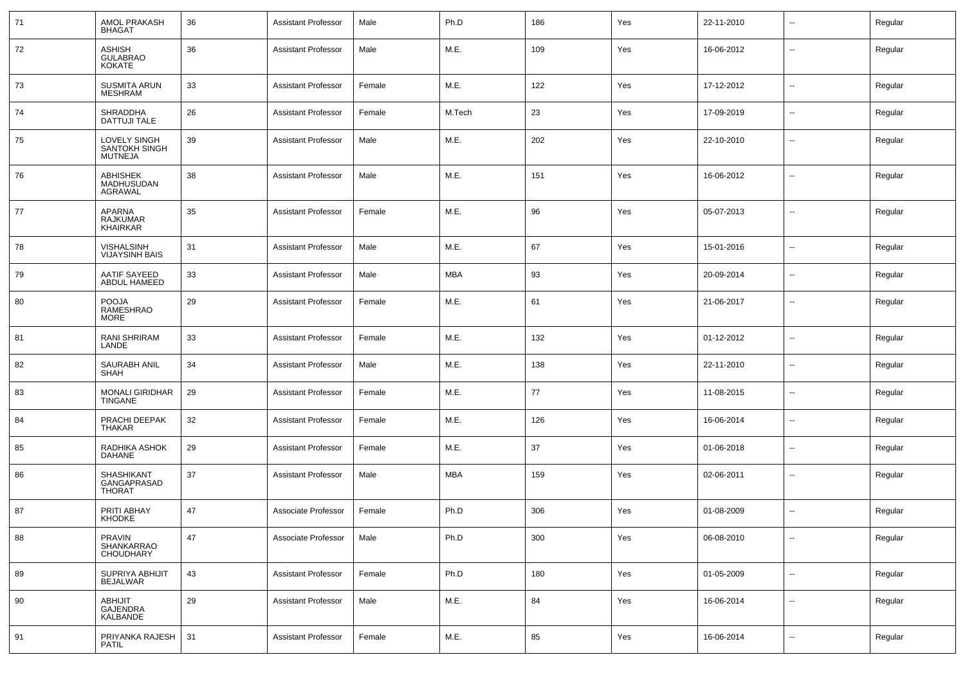| 71 | <b>AMOL PRAKASH</b><br><b>BHAGAT</b>            | 36 | <b>Assistant Professor</b> | Male   | Ph.D       | 186 | Yes | 22-11-2010 |                          | Regular |
|----|-------------------------------------------------|----|----------------------------|--------|------------|-----|-----|------------|--------------------------|---------|
| 72 | ASHISH<br>GULABRAO<br>KOKATE                    | 36 | <b>Assistant Professor</b> | Male   | M.E.       | 109 | Yes | 16-06-2012 | --                       | Regular |
| 73 | <b>SUSMITA ARUN</b><br><b>MESHRAM</b>           | 33 | <b>Assistant Professor</b> | Female | M.E.       | 122 | Yes | 17-12-2012 | $\sim$                   | Regular |
| 74 | SHRADDHA<br><b>DATTUJI TALE</b>                 | 26 | <b>Assistant Professor</b> | Female | M.Tech     | 23  | Yes | 17-09-2019 | $\sim$                   | Regular |
| 75 | LOVELY SINGH<br>SANTOKH SINGH<br><b>MUTNEJA</b> | 39 | <b>Assistant Professor</b> | Male   | M.E.       | 202 | Yes | 22-10-2010 | $\sim$                   | Regular |
| 76 | ABHISHEK<br>MADHUSUDAN<br>AGRAWAL               | 38 | <b>Assistant Professor</b> | Male   | M.E.       | 151 | Yes | 16-06-2012 | $\sim$                   | Regular |
| 77 | APARNA<br><b>RAJKUMAR</b><br><b>KHAIRKAR</b>    | 35 | <b>Assistant Professor</b> | Female | M.E.       | 96  | Yes | 05-07-2013 | --                       | Regular |
| 78 | <b>VISHALSINH</b><br><b>VIJAYSINH BAIS</b>      | 31 | <b>Assistant Professor</b> | Male   | M.E.       | 67  | Yes | 15-01-2016 | --                       | Regular |
| 79 | AATIF SAYEED<br>ABDUL HAMEED                    | 33 | <b>Assistant Professor</b> | Male   | <b>MBA</b> | 93  | Yes | 20-09-2014 | --                       | Regular |
| 80 | <b>POOJA</b><br>RAMESHRAO<br><b>MORE</b>        | 29 | <b>Assistant Professor</b> | Female | M.E.       | 61  | Yes | 21-06-2017 | --                       | Regular |
| 81 | RANI SHRIRAM<br>LANDE                           | 33 | <b>Assistant Professor</b> | Female | M.E.       | 132 | Yes | 01-12-2012 | Ξ.                       | Regular |
| 82 | SAURABH ANIL<br><b>SHAH</b>                     | 34 | <b>Assistant Professor</b> | Male   | M.E.       | 138 | Yes | 22-11-2010 | $\sim$                   | Regular |
| 83 | <b>MONALI GIRIDHAR</b><br><b>TINGANE</b>        | 29 | <b>Assistant Professor</b> | Female | M.E.       | 77  | Yes | 11-08-2015 | $\sim$                   | Regular |
| 84 | PRACHI DEEPAK<br><b>THAKAR</b>                  | 32 | <b>Assistant Professor</b> | Female | M.E.       | 126 | Yes | 16-06-2014 | $\sim$                   | Regular |
| 85 | RADHIKA ASHOK<br><b>DAHANE</b>                  | 29 | <b>Assistant Professor</b> | Female | M.E.       | 37  | Yes | 01-06-2018 | $\sim$                   | Regular |
| 86 | SHASHIKANT<br>GANGAPRASAD<br><b>THORAT</b>      | 37 | <b>Assistant Professor</b> | Male   | <b>MBA</b> | 159 | Yes | 02-06-2011 | $\sim$                   | Regular |
| 87 | PRITI ABHAY<br><b>KHODKE</b>                    | 47 | Associate Professor        | Female | Ph.D       | 306 | Yes | 01-08-2009 | --                       | Regular |
| 88 | PRAVIN<br>SHANKARRAO<br>CHOUDHARY               | 47 | Associate Professor        | Male   | Ph.D       | 300 | Yes | 06-08-2010 | --                       | Regular |
| 89 | SUPRIYA ABHIJIT<br><b>BEJALWAR</b>              | 43 | <b>Assistant Professor</b> | Female | Ph.D       | 180 | Yes | 01-05-2009 | $\overline{\phantom{a}}$ | Regular |
| 90 | ABHIJIT<br>GAJENDRA<br>KALBANDE                 | 29 | <b>Assistant Professor</b> | Male   | M.E.       | 84  | Yes | 16-06-2014 | $\ddotsc$                | Regular |
| 91 | PRIYANKA RAJESH<br><b>PATIL</b>                 | 31 | <b>Assistant Professor</b> | Female | M.E.       | 85  | Yes | 16-06-2014 | $\overline{\phantom{a}}$ | Regular |